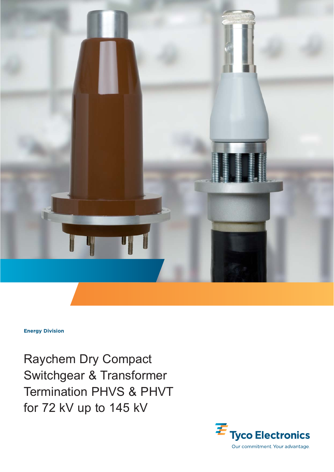

**Energy Division**

Raychem Dry Compact Switchgear & Transformer Termination PHVS & PHVT for 72 kV up to 145 kV